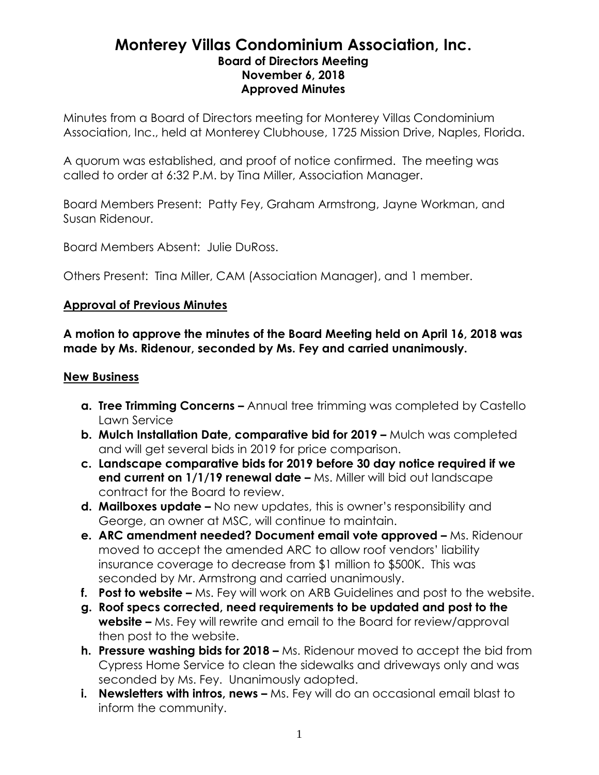## **Monterey Villas Condominium Association, Inc. Board of Directors Meeting November 6, 2018 Approved Minutes**

Minutes from a Board of Directors meeting for Monterey Villas Condominium Association, Inc., held at Monterey Clubhouse, 1725 Mission Drive, Naples, Florida.

A quorum was established, and proof of notice confirmed. The meeting was called to order at 6:32 P.M. by Tina Miller, Association Manager.

Board Members Present: Patty Fey, Graham Armstrong, Jayne Workman, and Susan Ridenour.

Board Members Absent: Julie DuRoss.

Others Present: Tina Miller, CAM (Association Manager), and 1 member.

## **Approval of Previous Minutes**

**A motion to approve the minutes of the Board Meeting held on April 16, 2018 was made by Ms. Ridenour, seconded by Ms. Fey and carried unanimously.**

## **New Business**

- **a. Tree Trimming Concerns –** Annual tree trimming was completed by Castello Lawn Service
- **b. Mulch Installation Date, comparative bid for 2019 –** Mulch was completed and will get several bids in 2019 for price comparison.
- **c. Landscape comparative bids for 2019 before 30 day notice required if we end current on 1/1/19 renewal date –** Ms. Miller will bid out landscape contract for the Board to review.
- **d. Mailboxes update –** No new updates, this is owner's responsibility and George, an owner at MSC, will continue to maintain.
- **e. ARC amendment needed? Document email vote approved –** Ms. Ridenour moved to accept the amended ARC to allow roof vendors' liability insurance coverage to decrease from \$1 million to \$500K. This was seconded by Mr. Armstrong and carried unanimously.
- **f. Post to website –** Ms. Fey will work on ARB Guidelines and post to the website.
- **g. Roof specs corrected, need requirements to be updated and post to the website –** Ms. Fey will rewrite and email to the Board for review/approval then post to the website.
- **h. Pressure washing bids for 2018 –** Ms. Ridenour moved to accept the bid from Cypress Home Service to clean the sidewalks and driveways only and was seconded by Ms. Fey. Unanimously adopted.
- **i.** Newsletters with intros, news Ms. Fey will do an occasional email blast to inform the community.